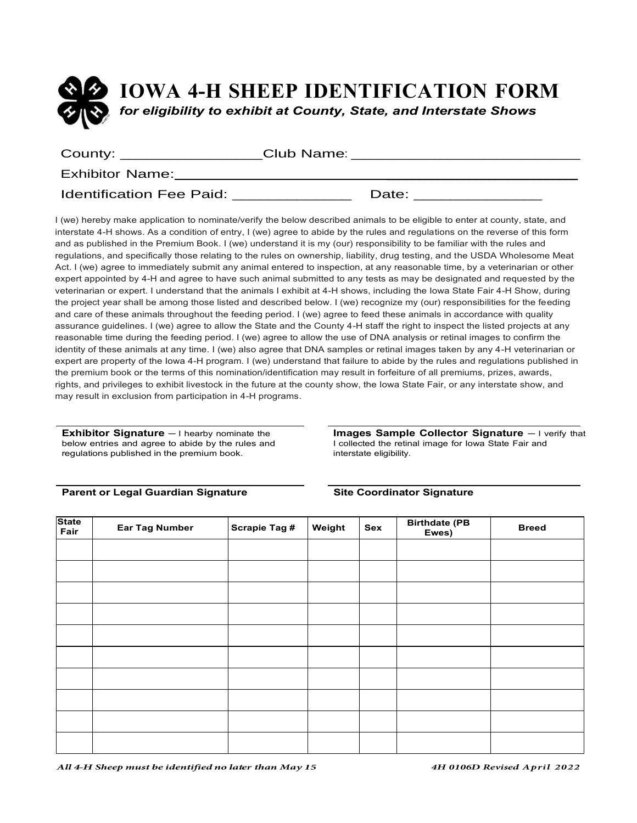

| County: _________________       | Club Name: |       |  |
|---------------------------------|------------|-------|--|
| <b>Exhibitor Name:</b>          |            |       |  |
| <b>Identification Fee Paid:</b> |            | Date: |  |

I (we) hereby make application to nominate/verify the below described animals to be eligible to enter at county, state, and interstate 4-H shows. As a condition of entry, I (we) agree to abide by the rules and regulations on the reverse of this form and as published in the Premium Book. I (we) understand it is my (our) responsibility to be familiar with the rules and regulations, and specifically those relating to the rules on ownership, liability, drug testing, and the USDA Wholesome Meat Act. I (we) agree to immediately submit any animal entered to inspection, at any reasonable time, by a veterinarian or other expert appointed by 4-H and agree to have such animal submitted to any tests as may be designated and requested by the veterinarian or expert. I understand that the animals I exhibit at 4-H shows, including the Iowa State Fair 4-H Show, during the project year shall be among those listed and described below. I (we) recognize my (our) responsibilities for the feeding and care of these animals throughout the feeding period. I (we) agree to feed these animals in accordance with quality assurance guidelines. I (we) agree to allow the State and the County 4-H staff the right to inspect the listed projects at any reasonable time during the feeding period. I (we) agree to allow the use of DNA analysis or retinal images to confirm the identity of these animals at any time. I (we) also agree that DNA samples or retinal images taken by any 4-H veterinarian or expert are property of the Iowa 4-H program. I (we) understand that failure to abide by the rules and regulations published in the premium book or the terms of this nomination/identification may result in forfeiture of all premiums, prizes, awards, rights, and privileges to exhibit livestock in the future at the county show, the Iowa State Fair, or any interstate show, and may result in exclusion from participation in 4-H programs.

**Exhibitor Signature** - I hearby nominate the below entries and agree to abide by the rules and regulations published in the premium book.

#### **Parent or Legal Guardian Signature Site Coordinator Signature**

**Images Sample Collector Signature** ‒ I verify that I collected the retinal image for Iowa State Fair and interstate eligibility.

| State<br>Fair | <b>Ear Tag Number</b> | <b>Scrapie Tag #</b> | Weight | Sex | <b>Birthdate (PB</b><br>Ewes) | <b>Breed</b> |
|---------------|-----------------------|----------------------|--------|-----|-------------------------------|--------------|
|               |                       |                      |        |     |                               |              |
|               |                       |                      |        |     |                               |              |
|               |                       |                      |        |     |                               |              |
|               |                       |                      |        |     |                               |              |
|               |                       |                      |        |     |                               |              |
|               |                       |                      |        |     |                               |              |
|               |                       |                      |        |     |                               |              |
|               |                       |                      |        |     |                               |              |
|               |                       |                      |        |     |                               |              |
|               |                       |                      |        |     |                               |              |